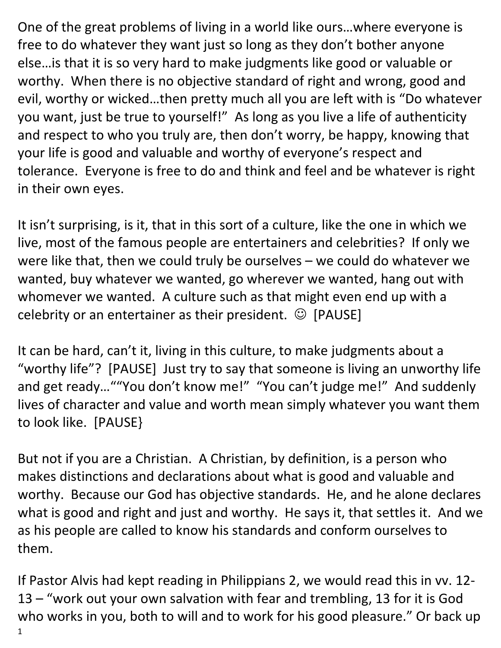One of the great problems of living in a world like ours…where everyone is free to do whatever they want just so long as they don't bother anyone else…is that it is so very hard to make judgments like good or valuable or worthy. When there is no objective standard of right and wrong, good and evil, worthy or wicked…then pretty much all you are left with is "Do whatever you want, just be true to yourself!" As long as you live a life of authenticity and respect to who you truly are, then don't worry, be happy, knowing that your life is good and valuable and worthy of everyone's respect and tolerance. Everyone is free to do and think and feel and be whatever is right in their own eyes.

It isn't surprising, is it, that in this sort of a culture, like the one in which we live, most of the famous people are entertainers and celebrities? If only we were like that, then we could truly be ourselves – we could do whatever we wanted, buy whatever we wanted, go wherever we wanted, hang out with whomever we wanted. A culture such as that might even end up with a celebrity or an entertainer as their president.  $\odot$  [PAUSE]

It can be hard, can't it, living in this culture, to make judgments about a "worthy life"? [PAUSE] Just try to say that someone is living an unworthy life and get ready…""You don't know me!" "You can't judge me!" And suddenly lives of character and value and worth mean simply whatever you want them to look like. [PAUSE}

But not if you are a Christian. A Christian, by definition, is a person who makes distinctions and declarations about what is good and valuable and worthy. Because our God has objective standards. He, and he alone declares what is good and right and just and worthy. He says it, that settles it. And we as his people are called to know his standards and conform ourselves to them.

1 If Pastor Alvis had kept reading in Philippians 2, we would read this in vv. 12- 13 – "work out your own salvation with fear and trembling, 13 for it is God who works in you, both to will and to work for his good pleasure." Or back up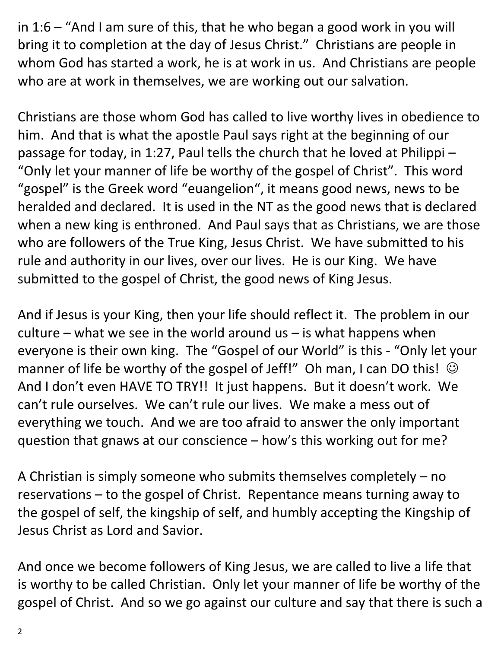in 1:6 – "And I am sure of this, that he who began a good work in you will bring it to completion at the day of Jesus Christ." Christians are people in whom God has started a work, he is at work in us. And Christians are people who are at work in themselves, we are working out our salvation.

Christians are those whom God has called to live worthy lives in obedience to him. And that is what the apostle Paul says right at the beginning of our passage for today, in 1:27, Paul tells the church that he loved at Philippi – "Only let your manner of life be worthy of the gospel of Christ". This word "gospel" is the Greek word "euangelion", it means good news, news to be heralded and declared. It is used in the NT as the good news that is declared when a new king is enthroned. And Paul says that as Christians, we are those who are followers of the True King, Jesus Christ. We have submitted to his rule and authority in our lives, over our lives. He is our King. We have submitted to the gospel of Christ, the good news of King Jesus.

And if Jesus is your King, then your life should reflect it. The problem in our culture – what we see in the world around  $us - is$  what happens when everyone is their own king. The "Gospel of our World" is this - "Only let your manner of life be worthy of the gospel of Jeff!" Oh man, I can DO this!  $\odot$ And I don't even HAVE TO TRY!! It just happens. But it doesn't work. We can't rule ourselves. We can't rule our lives. We make a mess out of everything we touch. And we are too afraid to answer the only important question that gnaws at our conscience – how's this working out for me?

A Christian is simply someone who submits themselves completely – no reservations – to the gospel of Christ. Repentance means turning away to the gospel of self, the kingship of self, and humbly accepting the Kingship of Jesus Christ as Lord and Savior.

And once we become followers of King Jesus, we are called to live a life that is worthy to be called Christian. Only let your manner of life be worthy of the gospel of Christ. And so we go against our culture and say that there is such a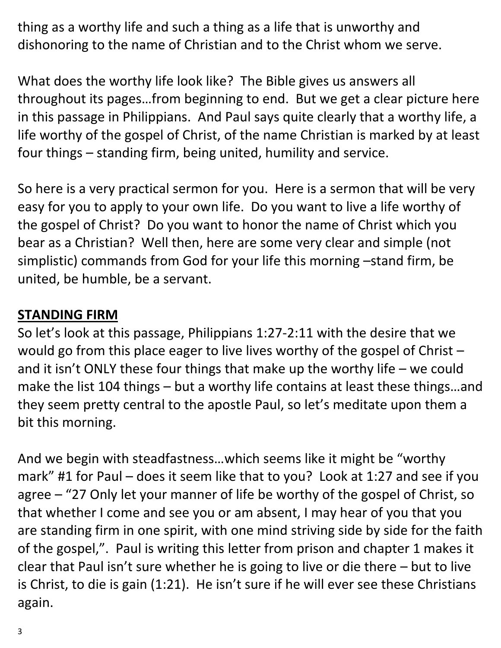thing as a worthy life and such a thing as a life that is unworthy and dishonoring to the name of Christian and to the Christ whom we serve.

What does the worthy life look like? The Bible gives us answers all throughout its pages…from beginning to end. But we get a clear picture here in this passage in Philippians. And Paul says quite clearly that a worthy life, a life worthy of the gospel of Christ, of the name Christian is marked by at least four things – standing firm, being united, humility and service.

So here is a very practical sermon for you. Here is a sermon that will be very easy for you to apply to your own life. Do you want to live a life worthy of the gospel of Christ? Do you want to honor the name of Christ which you bear as a Christian? Well then, here are some very clear and simple (not simplistic) commands from God for your life this morning –stand firm, be united, be humble, be a servant.

## **STANDING FIRM**

So let's look at this passage, Philippians 1:27-2:11 with the desire that we would go from this place eager to live lives worthy of the gospel of Christ – and it isn't ONLY these four things that make up the worthy life – we could make the list 104 things – but a worthy life contains at least these things…and they seem pretty central to the apostle Paul, so let's meditate upon them a bit this morning.

And we begin with steadfastness…which seems like it might be "worthy mark" #1 for Paul – does it seem like that to you? Look at 1:27 and see if you agree – "27 Only let your manner of life be worthy of the gospel of Christ, so that whether I come and see you or am absent, I may hear of you that you are standing firm in one spirit, with one mind striving side by side for the faith of the gospel,". Paul is writing this letter from prison and chapter 1 makes it clear that Paul isn't sure whether he is going to live or die there – but to live is Christ, to die is gain (1:21). He isn't sure if he will ever see these Christians again.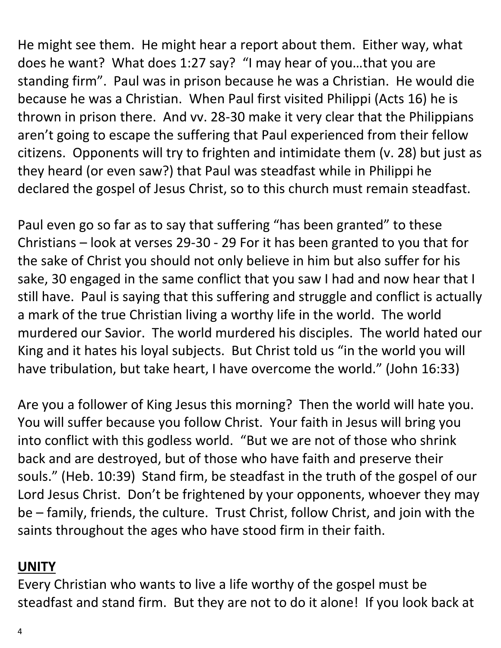He might see them. He might hear a report about them. Either way, what does he want? What does 1:27 say? "I may hear of you…that you are standing firm". Paul was in prison because he was a Christian. He would die because he was a Christian. When Paul first visited Philippi (Acts 16) he is thrown in prison there. And vv. 28-30 make it very clear that the Philippians aren't going to escape the suffering that Paul experienced from their fellow citizens. Opponents will try to frighten and intimidate them (v. 28) but just as they heard (or even saw?) that Paul was steadfast while in Philippi he declared the gospel of Jesus Christ, so to this church must remain steadfast.

Paul even go so far as to say that suffering "has been granted" to these Christians – look at verses 29-30 - 29 For it has been granted to you that for the sake of Christ you should not only believe in him but also suffer for his sake, 30 engaged in the same conflict that you saw I had and now hear that I still have. Paul is saying that this suffering and struggle and conflict is actually a mark of the true Christian living a worthy life in the world. The world murdered our Savior. The world murdered his disciples. The world hated our King and it hates his loyal subjects. But Christ told us "in the world you will have tribulation, but take heart, I have overcome the world." (John 16:33)

Are you a follower of King Jesus this morning? Then the world will hate you. You will suffer because you follow Christ. Your faith in Jesus will bring you into conflict with this godless world. "But we are not of those who shrink back and are destroyed, but of those who have faith and preserve their souls." (Heb. 10:39) Stand firm, be steadfast in the truth of the gospel of our Lord Jesus Christ. Don't be frightened by your opponents, whoever they may be – family, friends, the culture. Trust Christ, follow Christ, and join with the saints throughout the ages who have stood firm in their faith.

## **UNITY**

Every Christian who wants to live a life worthy of the gospel must be steadfast and stand firm. But they are not to do it alone! If you look back at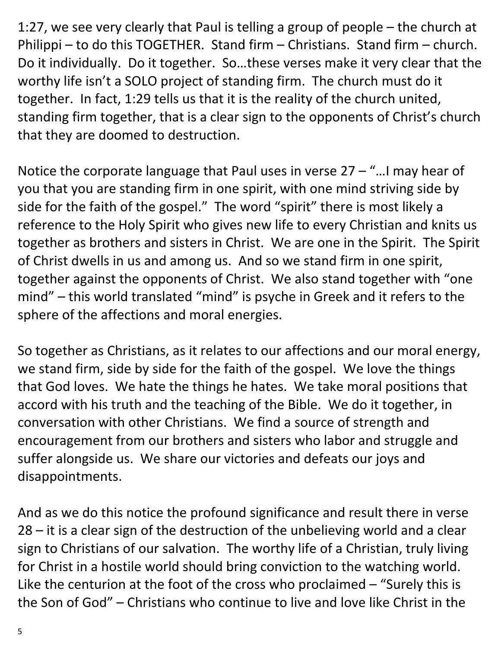1:27, we see very clearly that Paul is telling a group of people – the church at Philippi – to do this TOGETHER. Stand firm – Christians. Stand firm – church. Do it individually. Do it together. So…these verses make it very clear that the worthy life isn't a SOLO project of standing firm. The church must do it together. In fact, 1:29 tells us that it is the reality of the church united, standing firm together, that is a clear sign to the opponents of Christ's church that they are doomed to destruction.

Notice the corporate language that Paul uses in verse  $27 -$  "... I may hear of you that you are standing firm in one spirit, with one mind striving side by side for the faith of the gospel." The word "spirit" there is most likely a reference to the Holy Spirit who gives new life to every Christian and knits us together as brothers and sisters in Christ. We are one in the Spirit. The Spirit of Christ dwells in us and among us. And so we stand firm in one spirit, together against the opponents of Christ. We also stand together with "one mind" – this world translated "mind" is psyche in Greek and it refers to the sphere of the affections and moral energies.

So together as Christians, as it relates to our affections and our moral energy, we stand firm, side by side for the faith of the gospel. We love the things that God loves. We hate the things he hates. We take moral positions that accord with his truth and the teaching of the Bible. We do it together, in conversation with other Christians. We find a source of strength and encouragement from our brothers and sisters who labor and struggle and suffer alongside us. We share our victories and defeats our joys and disappointments.

And as we do this notice the profound significance and result there in verse 28 – it is a clear sign of the destruction of the unbelieving world and a clear sign to Christians of our salvation. The worthy life of a Christian, truly living for Christ in a hostile world should bring conviction to the watching world. Like the centurion at the foot of the cross who proclaimed – "Surely this is the Son of God" – Christians who continue to live and love like Christ in the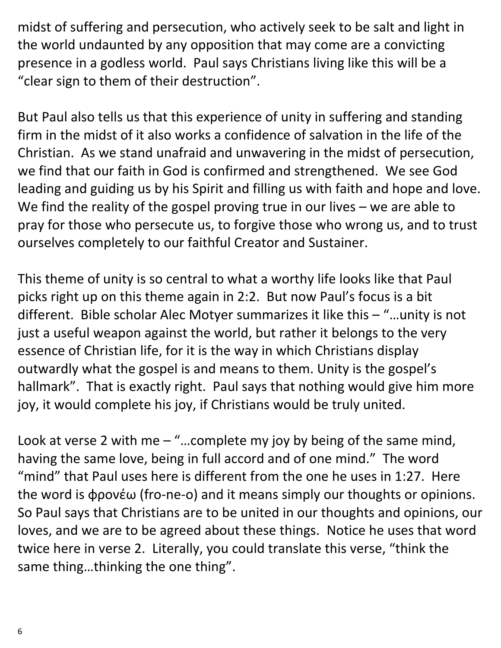midst of suffering and persecution, who actively seek to be salt and light in the world undaunted by any opposition that may come are a convicting presence in a godless world. Paul says Christians living like this will be a "clear sign to them of their destruction".

But Paul also tells us that this experience of unity in suffering and standing firm in the midst of it also works a confidence of salvation in the life of the Christian. As we stand unafraid and unwavering in the midst of persecution, we find that our faith in God is confirmed and strengthened. We see God leading and guiding us by his Spirit and filling us with faith and hope and love. We find the reality of the gospel proving true in our lives – we are able to pray for those who persecute us, to forgive those who wrong us, and to trust ourselves completely to our faithful Creator and Sustainer.

This theme of unity is so central to what a worthy life looks like that Paul picks right up on this theme again in 2:2. But now Paul's focus is a bit different. Bible scholar Alec Motyer summarizes it like this – "…unity is not just a useful weapon against the world, but rather it belongs to the very essence of Christian life, for it is the way in which Christians display outwardly what the gospel is and means to them. Unity is the gospel's hallmark". That is exactly right. Paul says that nothing would give him more joy, it would complete his joy, if Christians would be truly united.

Look at verse 2 with me  $-$  "...complete my joy by being of the same mind, having the same love, being in full accord and of one mind." The word "mind" that Paul uses here is different from the one he uses in 1:27. Here the word is φρονέω (fro-ne-o) and it means simply our thoughts or opinions. So Paul says that Christians are to be united in our thoughts and opinions, our loves, and we are to be agreed about these things. Notice he uses that word twice here in verse 2. Literally, you could translate this verse, "think the same thing…thinking the one thing".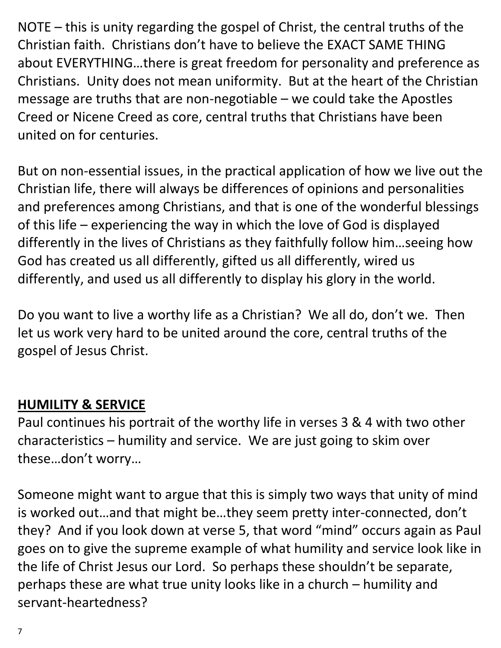NOTE – this is unity regarding the gospel of Christ, the central truths of the Christian faith. Christians don't have to believe the EXACT SAME THING about EVERYTHING…there is great freedom for personality and preference as Christians. Unity does not mean uniformity. But at the heart of the Christian message are truths that are non-negotiable – we could take the Apostles Creed or Nicene Creed as core, central truths that Christians have been united on for centuries.

But on non-essential issues, in the practical application of how we live out the Christian life, there will always be differences of opinions and personalities and preferences among Christians, and that is one of the wonderful blessings of this life – experiencing the way in which the love of God is displayed differently in the lives of Christians as they faithfully follow him…seeing how God has created us all differently, gifted us all differently, wired us differently, and used us all differently to display his glory in the world.

Do you want to live a worthy life as a Christian? We all do, don't we. Then let us work very hard to be united around the core, central truths of the gospel of Jesus Christ.

## **HUMILITY & SERVICE**

Paul continues his portrait of the worthy life in verses 3 & 4 with two other characteristics – humility and service. We are just going to skim over these…don't worry…

Someone might want to argue that this is simply two ways that unity of mind is worked out…and that might be…they seem pretty inter-connected, don't they? And if you look down at verse 5, that word "mind" occurs again as Paul goes on to give the supreme example of what humility and service look like in the life of Christ Jesus our Lord. So perhaps these shouldn't be separate, perhaps these are what true unity looks like in a church – humility and servant-heartedness?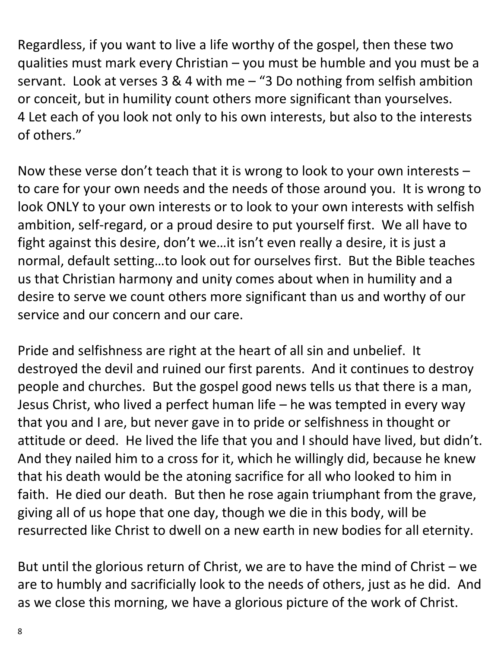Regardless, if you want to live a life worthy of the gospel, then these two qualities must mark every Christian – you must be humble and you must be a servant. Look at verses 3 & 4 with me – "3 Do nothing from selfish ambition or conceit, but in humility count others more significant than yourselves. 4 Let each of you look not only to his own interests, but also to the interests of others."

Now these verse don't teach that it is wrong to look to your own interests – to care for your own needs and the needs of those around you. It is wrong to look ONLY to your own interests or to look to your own interests with selfish ambition, self-regard, or a proud desire to put yourself first. We all have to fight against this desire, don't we…it isn't even really a desire, it is just a normal, default setting…to look out for ourselves first. But the Bible teaches us that Christian harmony and unity comes about when in humility and a desire to serve we count others more significant than us and worthy of our service and our concern and our care.

Pride and selfishness are right at the heart of all sin and unbelief. It destroyed the devil and ruined our first parents. And it continues to destroy people and churches. But the gospel good news tells us that there is a man, Jesus Christ, who lived a perfect human life – he was tempted in every way that you and I are, but never gave in to pride or selfishness in thought or attitude or deed. He lived the life that you and I should have lived, but didn't. And they nailed him to a cross for it, which he willingly did, because he knew that his death would be the atoning sacrifice for all who looked to him in faith. He died our death. But then he rose again triumphant from the grave, giving all of us hope that one day, though we die in this body, will be resurrected like Christ to dwell on a new earth in new bodies for all eternity.

But until the glorious return of Christ, we are to have the mind of Christ – we are to humbly and sacrificially look to the needs of others, just as he did. And as we close this morning, we have a glorious picture of the work of Christ.